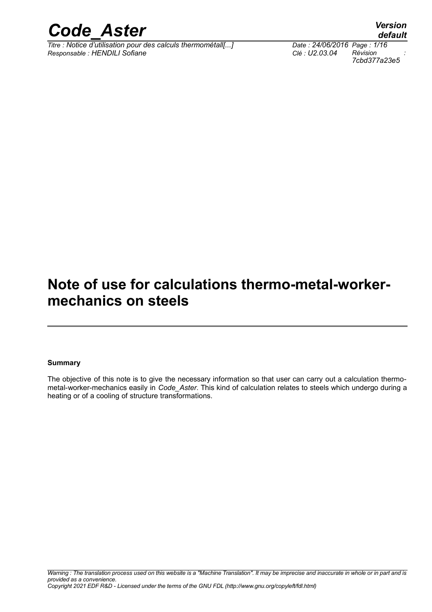

*Titre : Notice d'utilisation pour des calculs thermométall[...] Date : 24/06/2016 Page : 1/16 Responsable : HENDILI Sofiane Clé : U2.03.04 Révision :*

*7cbd377a23e5*

## *default*

### **Note of use for calculations thermo-metal-workermechanics on steels**

#### **Summary**

The objective of this note is to give the necessary information so that user can carry out a calculation thermometal-worker-mechanics easily in *Code\_Aster*. This kind of calculation relates to steels which undergo during a heating or of a cooling of structure transformations.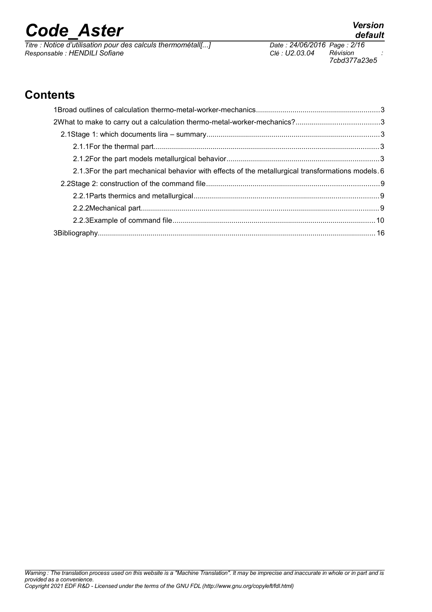*Titre : Notice d'utilisation pour des calculs thermométall[...] Date : 24/06/2016 Page : 2/16 Responsable : HENDILI Sofiane Clé : U2.03.04 Révision :*

### **Contents**

| 2.1.3For the part mechanical behavior with effects of the metallurgical transformations models. 6 |  |
|---------------------------------------------------------------------------------------------------|--|
|                                                                                                   |  |
|                                                                                                   |  |
|                                                                                                   |  |
|                                                                                                   |  |
|                                                                                                   |  |

*7cbd377a23e5*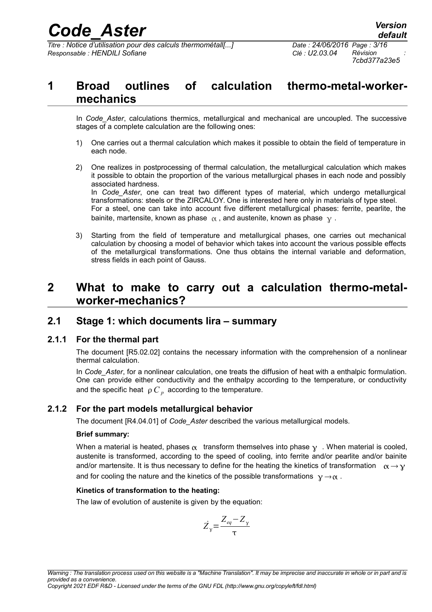*Titre : Notice d'utilisation pour des calculs thermométall[...] Date : 24/06/2016 Page : 3/16 Responsable : HENDILI Sofiane Clé : U2.03.04 Révision :*

### **1 Broad outlines of calculation thermo-metal-workermechanics**

In *Code\_Aster*, calculations thermics, metallurgical and mechanical are uncoupled. The successive stages of a complete calculation are the following ones:

- 1) One carries out a thermal calculation which makes it possible to obtain the field of temperature in each node.
- 2) One realizes in postprocessing of thermal calculation, the metallurgical calculation which makes it possible to obtain the proportion of the various metallurgical phases in each node and possibly associated hardness. In *Code\_Aster*, one can treat two different types of material, which undergo metallurgical transformations: steels or the ZIRCALOY. One is interested here only in materials of type steel. For a steel, one can take into account five different metallurgical phases: ferrite, pearlite, the bainite, martensite, known as phase  $\alpha$ , and austenite, known as phase  $\gamma$ .
- 3) Starting from the field of temperature and metallurgical phases, one carries out mechanical calculation by choosing a model of behavior which takes into account the various possible effects of the metallurgical transformations. One thus obtains the internal variable and deformation, stress fields in each point of Gauss.

### **2 What to make to carry out a calculation thermo-metalworker-mechanics?**

### **2.1 Stage 1: which documents lira – summary**

### **2.1.1 For the thermal part**

The document [R5.02.02] contains the necessary information with the comprehension of a nonlinear thermal calculation.

In *Code\_Aster*, for a nonlinear calculation, one treats the diffusion of heat with a enthalpic formulation. One can provide either conductivity and the enthalpy according to the temperature, or conductivity and the specific heat  $\rho$   $\overline{C}_p$  according to the temperature.

### **2.1.2 For the part models metallurgical behavior**

The document [R4.04.01] of *Code\_Aster* described the various metallurgical models.

### **Brief summary:**

When a material is heated, phases  $\alpha$  transform themselves into phase  $\gamma$ . When material is cooled, austenite is transformed, according to the speed of cooling, into ferrite and/or pearlite and/or bainite and/or martensite. It is thus necessary to define for the heating the kinetics of transformation  $\alpha \rightarrow \gamma$ and for cooling the nature and the kinetics of the possible transformations  $y \rightarrow \alpha$ .

### **Kinetics of transformation to the heating:**

The law of evolution of austenite is given by the equation:

$$
\dot{Z}_y = \frac{Z_{eq} - Z_y}{\tau}
$$

*Copyright 2021 EDF R&D - Licensed under the terms of the GNU FDL (http://www.gnu.org/copyleft/fdl.html)*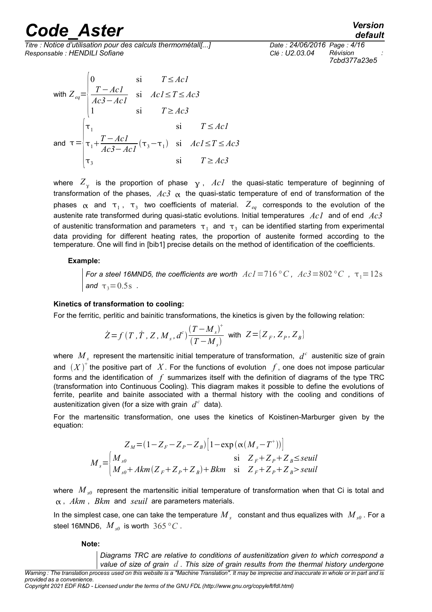*Titre : Notice d'utilisation pour des calculs thermométall[...] Date : 24/06/2016 Page : 4/16 Responsable : HENDILI Sofiane Clé : U2.03.04 Révision :*

with 
$$
Z_{eq} = \begin{cases} 0 & \text{si} & T \le Ac1 \\ \frac{T - Ac1}{Ac3 - Ac1} & \text{si} & Ac1 \le T \le Ac3 \\ 1 & \text{si} & T \ge Ac3 \end{cases}
$$
  
and  $\tau = \begin{cases} \tau_1 & \text{si} & T \le Ac1 \\ \tau_1 + \frac{T - Ac1}{Ac3 - Ac1}(\tau_3 - \tau_1) & \text{si} & Ac1 \le T \le Ac3 \\ \tau_3 & \text{si} & T \ge Ac3 \end{cases}$ 

where  $Z_{\gamma}$  is the proportion of phase  $\gamma$ ,  $\text{A} \text{c} \textit{1}$  the quasi-static temperature of beginning of transformation of the phases,  $Ac3 \alpha$  the quasi-static temperature of end of transformation of the phases  $\alpha$  and  $\tau_1$ ,  $\tau_3$  two coefficients of material.  $Z_{eq}$  corresponds to the evolution of the austenite rate transformed during quasi-static evolutions. Initial temperatures *Ac1* and of end *Ac3* of austenitic transformation and parameters  $\tau_1$  and  $\tau_3$  can be identified starting from experimental data providing for different heating rates, the proportion of austenite formed according to the temperature. One will find in [bib1] precise details on the method of identification of the coefficients.

#### **Example:**

*For a steel 16MND5, the coefficients are worth*  $Ac1=716\degree C$ ,  $Ac3=802\degree C$ ,  $\tau_1=12s$ *and*  $\tau_3 = 0.5s$ .

#### **Kinetics of transformation to cooling:**

For the ferritic, perlitic and bainitic transformations, the kinetics is given by the following relation:

$$
\dot{Z} = f(T, \dot{T}, Z, M_s, d^c) \frac{(T - M_s)^+}{(T - M_s)} \text{ with } Z = [Z_F, Z_P, Z_B]
$$

where  $\ M_{_S}$  represent the martensitic initial temperature of transformation,  $\ d^{\,c}$  austenitic size of grain and  $(X)^+$  the positive part of  $|X|$ . For the functions of evolution  $|f|$ , one does not impose particular forms and the identification of *f* summarizes itself with the definition of diagrams of the type TRC (transformation into Continuous Cooling). This diagram makes it possible to define the evolutions of ferrite, pearlite and bainite associated with a thermal history with the cooling and conditions of austenitization given (for a size with grain  $d^c$  data).

For the martensitic transformation, one uses the kinetics of Koistinen-Marburger given by the equation:

$$
Z_M = (1 - Z_F - Z_P - Z_B) \Big[ 1 - \exp\left(\alpha (M_s - T^+)\right) \Big]
$$
  
\n
$$
M_s = \begin{cases} M_{s0} & \text{si } Z_F + Z_P + Z_B \le \text{seuil} \\ M_{s0} + Akm \left(Z_F + Z_P + Z_B\right) + Bkm & \text{si } Z_F + Z_P + Z_B > \text{seuil} \end{cases}
$$

where  $M_{s0}$  represent the martensitic initial temperature of transformation when that Ci is total and , *Akm* , *Bkm* and *seuil* are parameters materials.

In the simplest case, one can take the temperature  ${M}_{s}$  constant and thus equalizes with  $\,{M}_{s0}$  . For a steel 16MND6,  $M_{s0}$  is worth 365 °C.

**Note:**

*Diagrams TRC are relative to conditions of austenitization given to which correspond a value of size of grain d . This size of grain results from the thermal history undergone*

*Warning : The translation process used on this website is a "Machine Translation". It may be imprecise and inaccurate in whole or in part and is provided as a convenience.*

*Copyright 2021 EDF R&D - Licensed under the terms of the GNU FDL (http://www.gnu.org/copyleft/fdl.html)*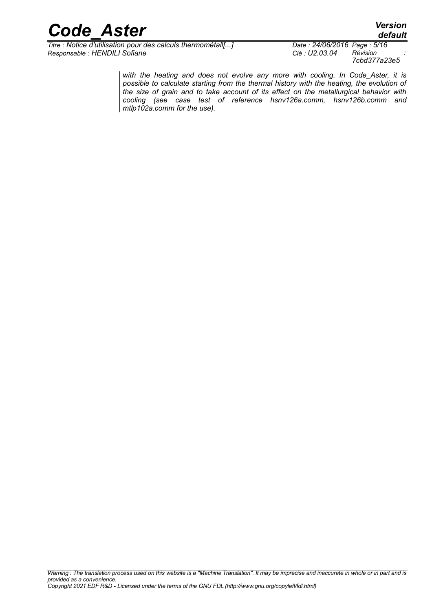

*Titre : Notice d'utilisation pour des calculs thermométall[...] Date : 24/06/2016 Page : 5/16 Responsable : HENDILI Sofiane Clé : U2.03.04 Révision :*

*7cbd377a23e5*

*with the heating and does not evolve any more with cooling. In Code\_Aster, it is possible to calculate starting from the thermal history with the heating, the evolution of the size of grain and to take account of its effect on the metallurgical behavior with cooling (see case test of reference hsnv126a.comm, hsnv126b.comm and mtlp102a.comm for the use).*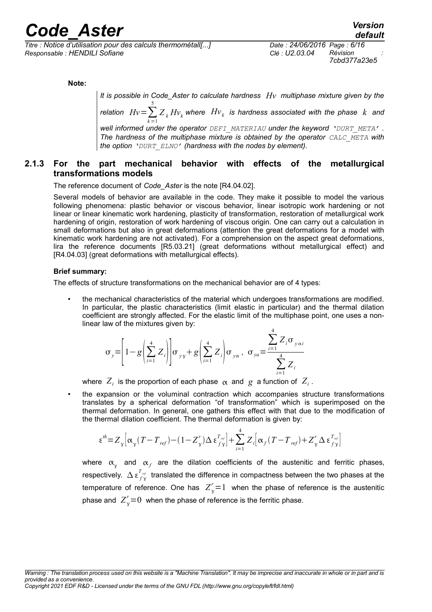*Titre : Notice d'utilisation pour des calculs thermométall[...] Date : 24/06/2016 Page : 6/16 Responsable : HENDILI Sofiane Clé : U2.03.04 Révision :*

*7cbd377a23e5*

**Note:**

*It is possible in Code\_Aster to calculate hardness Hv multiphase mixture given by the* 5

*relation*  $Hv = \sum_{k=1}^{n}$  $Z_{\ _k}H\!v_{\ _k}$  where  $\ _{Hv_{\ _k}}$  is hardness associated with the phase  $\ _k$  and

*well informed under the operator DEFI\_MATERIAU under the keyword 'DURT\_META' . The hardness of the multiphase mixture is obtained by the operator CALC\_META with the option 'DURT\_ELNO' (hardness with the nodes by element).*

### **2.1.3 For the part mechanical behavior with effects of the metallurgical transformations models**

The reference document of *Code\_Aster* is the note [R4.04.02].

Several models of behavior are available in the code. They make it possible to model the various following phenomena: plastic behavior or viscous behavior, linear isotropic work hardening or not linear or linear kinematic work hardening, plasticity of transformation, restoration of metallurgical work hardening of origin, restoration of work hardening of viscous origin. One can carry out a calculation in small deformations but also in great deformations (attention the great deformations for a model with kinematic work hardening are not activated). For a comprehension on the aspect great deformations, lira the reference documents [R5.03.21] (great deformations without metallurgical effect) and [R4.04.03] (great deformations with metallurgical effects).

#### **Brief summary:**

The effects of structure transformations on the mechanical behavior are of 4 types:

• the mechanical characteristics of the material which undergoes transformations are modified. In particular, the plastic characteristics (limit elastic in particular) and the thermal dilation coefficient are strongly affected. For the elastic limit of the multiphase point, one uses a nonlinear law of the mixtures given by:

$$
\sigma_{y} = \left[1 - g \left(\sum_{i=1}^{4} Z_{i}\right) \middle| \sigma_{yy} + g \left(\sum_{i=1}^{4} Z_{i}\right) \sigma_{yx}, \sigma_{ya} = \frac{\sum_{i=1}^{4} Z_{i} \sigma_{y \alpha i}}{\sum_{i=1}^{4} Z_{i}}
$$

where  $\left| Z_{i}\right|$  is the proportion of each phase  $\left| \alpha\right|$  and  $\left| g\right|$  a function of  $\left| Z_{i}\right|$ .

• the expansion or the voluminal contraction which accompanies structure transformations translates by a spherical deformation "of transformation" which is superimposed on the thermal deformation. In general, one gathers this effect with that due to the modification of the thermal dilation coefficient. The thermal deformation is given by:

$$
\epsilon^{\text{th}}\!=\!Z_{\text{y}}\!\left[\alpha_{\text{y}}(T\!-\!T_{\text{ref}})\!-\!(1\!-\!Z_{\text{y}}^r)\Delta\,\epsilon_{\text{f}\text{y}}^{T_{\text{ref}}}\right]\!+\!\sum_{i=1}^4 Z_i\!\left[\alpha_{\text{f}}(T\!-\!T_{\text{ref}})\!+\!Z_{\text{y}}^r\Delta\,\epsilon_{\text{f}\text{y}}^{T_{\text{ref}}}\right]
$$

where  $\alpha_{\chi}$  and  $\alpha_{f}$  are the dilation coefficients of the austenitic and ferritic phases, respectively.  $\Delta \epsilon_{f\gamma}^{T_{\rm ref}}$  translated the difference in compactness between the two phases at the temperature of reference. One has  $Z_{\text{y}}^r=1$  when the phase of reference is the austenitic phase and  $Z_{\text{y}}^r{=}0$  when the phase of reference is the ferritic phase.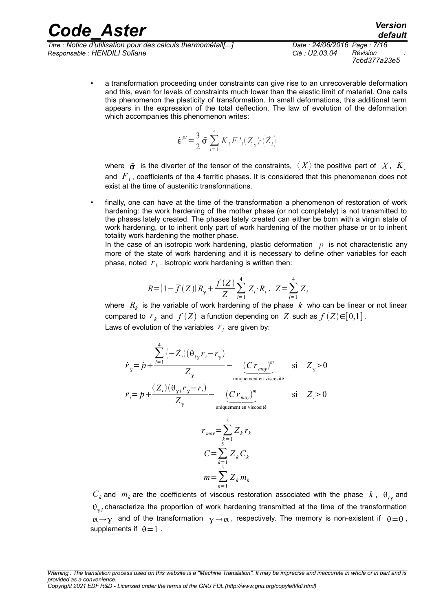*Titre : Notice d'utilisation pour des calculs thermométall[...] Date : 24/06/2016 Page : 7/16 Responsable : HENDILI Sofiane Clé : U2.03.04 Révision :*

• a transformation proceeding under constraints can give rise to an unrecoverable deformation and this, even for levels of constraints much lower than the elastic limit of material. One calls this phenomenon the plasticity of transformation. In small deformations, this additional term appears in the expression of the total deflection. The law of evolution of the deformation which accompanies this phenomenon writes:

$$
\dot{\boldsymbol{\varepsilon}}^{pt} = \frac{3}{2} \tilde{\boldsymbol{\sigma}} \sum_{i=1}^{4} K_i F'_{i} (Z_{\gamma}) \cdot \langle \dot{Z}_{i} \rangle
$$

where  $\tilde{\sigma}$  is the diverter of the tensor of the constraints,  $\langle X \rangle$  the positive part of X,  $K_i$ and *F<sup>i</sup>* , coefficients of the 4 ferritic phases. It is considered that this phenomenon does not exist at the time of austenitic transformations.

finally, one can have at the time of the transformation a phenomenon of restoration of work hardening: the work hardening of the mother phase (or not completely) is not transmitted to the phases lately created. The phases lately created can either be born with a virgin state of work hardening, or to inherit only part of work hardening of the mother phase or or to inherit totality work hardening the mother phase.

In the case of an isotropic work hardening, plastic deformation  $p$  is not characteristic any more of the state of work hardening and it is necessary to define other variables for each phase, noted *r <sup>k</sup>* . Isotropic work hardening is written then:

$$
R = (1 - \overline{f}(Z))R_{\gamma} + \frac{\overline{f}(Z)}{Z} \sum_{i=1}^{4} Z_{i} \cdot R_{i}, \ Z = \sum_{i=1}^{4} Z_{i}
$$

where  $\ R_{_k}$  is the variable of work hardening of the phase  $\ k\,$  who can be linear or not linear compared to  $\; r_{_k} \;$  and  $\; \bar{f}\, (Z) \;$  a function depending on  $\; Z \;$  such as  $\bar{f}\, (Z) {\in} [ \, 0, 1 \, ]$  . Laws of evolution of the variables  $|r_i|$  are given by:

$$
\dot{r}_{y} = \dot{p} + \frac{\sum_{i=1}^{4} \left\langle -\dot{Z}_{i} \right\rangle (\theta_{iy} r_{i} - r_{y})}{Z_{y}} - \underbrace{(Cr_{moy})^{m}}_{\text{uniquement en viscosité}}
$$
\n
$$
\dot{r}_{i} = \dot{p} + \frac{\left\langle Z_{i} \right\rangle (\theta_{y i} r_{y} - r_{i})}{Z_{y}} - \underbrace{(Cr_{moy})^{m}}_{\text{uniquement en viscosité}}
$$
\n
$$
r_{moy} = \sum_{k=1}^{5} Z_{k} r_{k}
$$
\n
$$
C = \sum_{k=1}^{5} Z_{k} C_{k}
$$

 $m=\sum_{k=1}$  $Z_k$   $m_k$  $C_k$  and  $m_k$  are the coefficients of viscous restoration associated with the phase  $k$ ,  $\theta_{ij}$  and  $\theta_{\gamma i}$  characterize the proportion of work hardening transmitted at the time of the transformation  $\alpha \rightarrow y$  and of the transformation  $y \rightarrow \alpha$ , respectively. The memory is non-existent if  $\theta = 0$ , supplements if  $\theta = 1$ .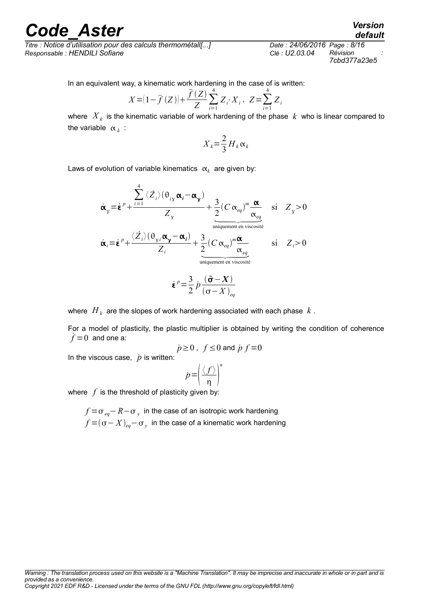*Titre : Notice d'utilisation pour des calculs thermométall[...] Date : 24/06/2016 Page : 8/16 Responsable : HENDILI Sofiane Clé : U2.03.04 Révision :*

*7cbd377a23e5*

In an equivalent way, a kinematic work hardening in the case of is written:

$$
X = (1 - \overline{f}(Z)) + \frac{\overline{f}(Z)}{Z} \sum_{i=1}^{4} Z_i \cdot X_i, \ Z = \sum_{i=1}^{4} Z_i
$$

where  $\left| X_{\,k} \right|$  is the kinematic variable of work hardening of the phase  $\left| k \right|$  who is linear compared to the variable  $\alpha_k$ :

$$
X_k = \frac{2}{3} H_k \alpha_k
$$

Laws of evolution of variable kinematics  $\alpha_k$  are given by:

$$
\dot{\alpha}_y = \dot{\epsilon}^p + \frac{\sum_{i=1}^4 \langle \dot{Z}_i \rangle (\theta_{iy} \alpha_i - \alpha_y)}{Z_y} + \frac{3}{2} (C \alpha_{eq})^m \frac{\alpha}{\alpha_{eq}} \quad \text{si} \quad Z_y > 0
$$
\n
$$
\dot{\alpha}_i = \dot{\epsilon}^p + \frac{\langle \dot{Z}_i \rangle (\theta_{yi} \alpha_y - \alpha_i)}{Z_i} + \frac{3}{2} (C \alpha_{eq})^m \frac{\alpha}{\alpha_{eq}} \quad \text{si} \quad Z_i > 0
$$
\n
$$
\frac{\dot{\alpha}_i}{\alpha_{eq}} = \dot{\epsilon}^p + \frac{\langle \dot{Z}_i \rangle (\theta_{yi} \alpha_y - \alpha_i)}{Z_i} + \frac{3}{2} (C \alpha_{eq})^m \frac{\alpha}{\alpha_{eq}} \quad \text{si} \quad Z_i > 0
$$

$$
\dot{\boldsymbol{\varepsilon}}^p = \frac{3}{2} \dot{p} \frac{(\tilde{\boldsymbol{\sigma}} - \boldsymbol{X})}{(\boldsymbol{\sigma} - \boldsymbol{X})_{eq}}
$$

where  $\left. H_{\,\right. k}\right.$  are the slopes of work hardening associated with each phase  $\,k$  .

For a model of plasticity, the plastic multiplier is obtained by writing the condition of coherence  $f=0$  and one a:

$$
\dot{p}\!\geq\!0\;,\;f\!\leq\!0\;\text{and}\;\dot{p}\,f\!=\!0
$$

In the viscous case,  $\dot{p}$  is written:

$$
p = \left(\frac{\langle f \rangle}{\eta}\right)^n
$$

where  $f$  is the threshold of plasticity given by:

*f* = $\sigma$  <sub>eq</sub>− *R*− $\sigma$   $_{y}$  in the case of an isotropic work hardening  $f$   $=$   $(\sigma - X)_{eq}$   $\sigma$   $_{y}$   $\,$  in the case of a kinematic work hardening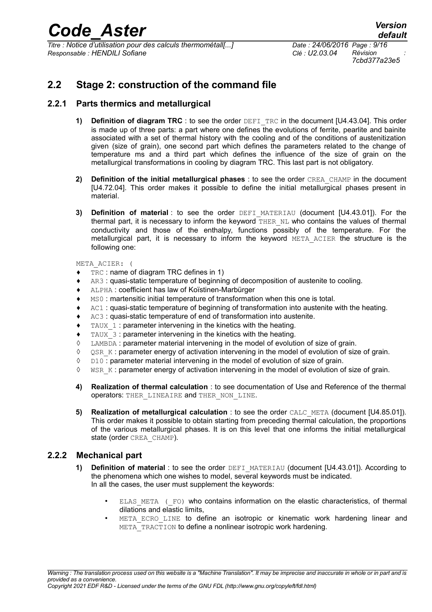*Titre : Notice d'utilisation pour des calculs thermométall[...] Date : 24/06/2016 Page : 9/16 Responsable : HENDILI Sofiane Clé : U2.03.04 Révision :*

*7cbd377a23e5*

### **2.2 Stage 2: construction of the command file**

### **2.2.1 Parts thermics and metallurgical**

- **1) Definition of diagram TRC**: to see the order DEFI TRC in the document [U4.43.04]. This order is made up of three parts: a part where one defines the evolutions of ferrite, pearlite and bainite associated with a set of thermal history with the cooling and of the conditions of austenitization given (size of grain), one second part which defines the parameters related to the change of temperature ms and a third part which defines the influence of the size of grain on the metallurgical transformations in cooling by diagram TRC. This last part is not obligatory.
- **2) Definition of the initial metallurgical phases** : to see the order CREA\_CHAMP in the document [U4.72.04]. This order makes it possible to define the initial metallurgical phases present in material.
- **3) Definition of material**: to see the order DEFI\_MATERIAU (document [U4.43.01]). For the thermal part, it is necessary to inform the keyword THER NL who contains the values of thermal conductivity and those of the enthalpy, functions possibly of the temperature. For the metallurgical part, it is necessary to inform the keyword META\_ACIER the structure is the following one:

META\_ACIER: (

- ♦ TRC : name of diagram TRC defines in 1)
- ♦ AR3 : quasi-static temperature of beginning of decomposition of austenite to cooling.
- ♦ ALPHA : coefficient has law of Koïstinen-Marbürger
- ♦ MS0 : martensitic initial temperature of transformation when this one is total.
- ♦ AC1 : quasi-static temperature of beginning of transformation into austenite with the heating.
- ♦ AC3 : quasi-static temperature of end of transformation into austenite.
- $\bullet$  TAUX 1 : parameter intervening in the kinetics with the heating.
- $\bullet$  TAUX 3 : parameter intervening in the kinetics with the heating.
- ◊ LAMBDA : parameter material intervening in the model of evolution of size of grain.
- ◊ QSR\_K : parameter energy of activation intervening in the model of evolution of size of grain.
- ◊ D10 : parameter material intervening in the model of evolution of size of grain.
- ◊ WSR\_K : parameter energy of activation intervening in the model of evolution of size of grain.
- **4) Realization of thermal calculation** : to see documentation of Use and Reference of the thermal operators: THER\_LINEAIRE and THER\_NON\_LINE.
- **5) Realization of metallurgical calculation** : to see the order CALC\_META (document [U4.85.01]). This order makes it possible to obtain starting from preceding thermal calculation, the proportions of the various metallurgical phases. It is on this level that one informs the initial metallurgical state (order CREA\_CHAMP).

### **2.2.2 Mechanical part**

- **1) Definition of material** : to see the order DEFI\_MATERIAU (document [U4.43.01]). According to the phenomena which one wishes to model, several keywords must be indicated. In all the cases, the user must supplement the keywords:
	- ELAS META (FO) who contains information on the elastic characteristics, of thermal dilations and elastic limits,
	- META ECRO LINE to define an isotropic or kinematic work hardening linear and META TRACTION to define a nonlinear isotropic work hardening.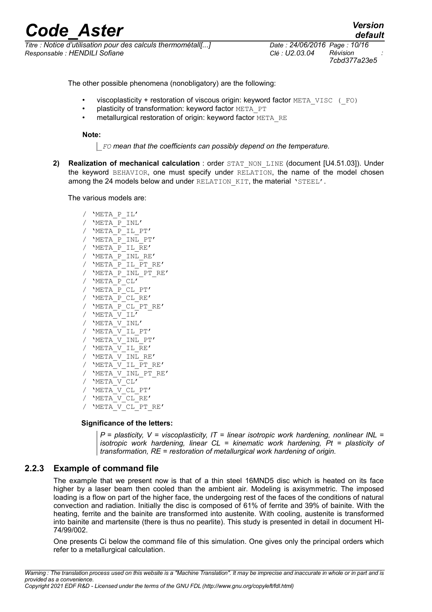*Titre : Notice d'utilisation pour des calculs thermométall[...] Date : 24/06/2016 Page : 10/16 Responsable : HENDILI Sofiane Clé : U2.03.04 Révision :*

*default 7cbd377a23e5*

The other possible phenomena (nonobligatory) are the following:

- viscoplasticity + restoration of viscous origin: keyword factor META\_VISC (\_FO)
- plasticity of transformation: keyword factor META\_PT
- metallurgical restoration of origin: keyword factor META\_RE

**Note:**

*\_FO mean that the coefficients can possibly depend on the temperature.*

**2) Realization of mechanical calculation** : order STAT\_NON\_LINE (document [U4.51.03]). Under the keyword BEHAVIOR, one must specify under RELATION, the name of the model chosen among the 24 models below and under RELATION KIT, the material 'STEEL'.

The various models are:

/ 'META\_P\_IL' / 'META\_P\_INL'  $/$  'META $^-$ P $^-$ IL PT'  $/$  'META  $P$  INL PT' / 'META\_P\_IL\_RE'  $/$  'META  $P$  INL RE' / 'META\_P\_IL\_PT\_RE'  $/$  'META P INL PT RE' / 'META<sup>P</sup>CL' / 'META\_P\_CL\_PT' / 'META\_P\_CL\_RE' / 'META\_P\_CL\_PT\_RE' / 'META\_V\_IL'  $/$  'META $V$ INL' / 'META\_V\_IL\_PT' / 'META\_V\_INL\_PT' /  $'$ META V IL RE'  $/$  'META  $V$  INL RE' / 'META\_V\_IL\_PT\_RE' / 'META\_V\_INL\_PT\_RE' / 'META\_V\_CL' / 'META\_V\_CL\_PT' / 'META\_V\_CL\_RE' / 'META\_V\_CL\_PT\_RE'

#### **Significance of the letters:**

*P = plasticity, V = viscoplasticity, IT = linear isotropic work hardening, nonlinear INL = isotropic work hardening, linear CL = kinematic work hardening, Pt = plasticity of transformation, RE = restoration of metallurgical work hardening of origin.*

### **2.2.3 Example of command file**

The example that we present now is that of a thin steel 16MND5 disc which is heated on its face higher by a laser beam then cooled than the ambient air. Modeling is axisymmetric. The imposed loading is a flow on part of the higher face, the undergoing rest of the faces of the conditions of natural convection and radiation. Initially the disc is composed of 61% of ferrite and 39% of bainite. With the heating, ferrite and the bainite are transformed into austenite. With cooling, austenite is transformed into bainite and martensite (there is thus no pearlite). This study is presented in detail in document HI-74/99/002.

One presents Ci below the command file of this simulation. One gives only the principal orders which refer to a metallurgical calculation.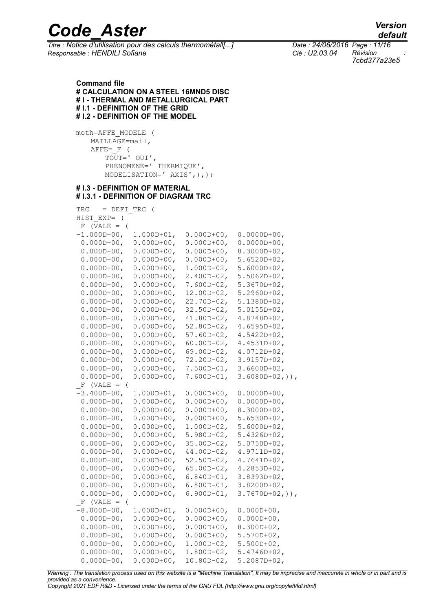*Titre : Notice d'utilisation pour des calculs thermométall[...] Date : 24/06/2016 Page : 11/16 Responsable : HENDILI Sofiane Clé : U2.03.04 Révision :*

*7cbd377a23e5*

**Command file # CALCULATION ON A STEEL 16MND5 DISC # I - THERMAL AND METALLURGICAL PART # I.1 - DEFINITION OF THE GRID # I.2 - DEFINITION OF THE MODEL**

moth=AFFE\_MODELE ( MAILLAGE=mail,  $A$ FFE= F ( TOUT=' OUI', PHENOMENE=' THERMIQUE', MODELISATION=' AXIS',),);

#### **# I.3 - DEFINITION OF MATERIAL # I.3.1 - DEFINITION OF DIAGRAM TRC**

| TRC<br>= DEFI TRC           | $\sqrt{2}$      |                 |                     |
|-----------------------------|-----------------|-----------------|---------------------|
| HIST EXP=<br>$\overline{(}$ |                 |                 |                     |
| $F$ (VALE = (               |                 |                 |                     |
| $-1.000D+00,$               | 1.000D+01,      | 0.000D+00,      | $0.0000D+00,$       |
| $0.000D + 00,$              | $0.000D + 00$ , | 0.000D+00,      | $0.0000D+00$ ,      |
| $0.000D + 00,$              | $0.000D + 00,$  | $0.000D + 00,$  | $8.3000D + 02$ ,    |
| $0.000D + 00,$              | $0.000D + 00,$  | $0.000D + 00,$  | 5.6520D+02,         |
| $0.000D + 00,$              | $0.000D + 00,$  | $1.000D-02,$    | $5.6000D+02,$       |
| $0.000D + 00,$              | $0.000D + 00,$  | $2.400D - 02,$  | $5.5062D + 02,$     |
| $0.000D + 00,$              | $0.000D + 00$ , | 7.600D-02,      | 5.3670D+02,         |
| $0.000D + 00,$              | $0.000D + 00,$  | 12.00D-02,      | 5.2960D+02,         |
| $0.000D + 00,$              | $0.000D + 00,$  | $22.70D - 02$   | 5.1380D+02,         |
| $0.000D + 00,$              | $0.000D + 00$ , | $32.50D - 02$ , | $5.0155D+02,$       |
| $0.000D + 00,$              | $0.000D + 00,$  | $41.80D - 02$ , | 4.8748D+02,         |
| $0.000D + 00,$              | $0.000D + 00,$  | $52.80D-02$ ,   | $4.6595D+02,$       |
| $0.000D + 00,$              | $0.000D + 00,$  | $57.60D - 02$   | $4.5422D + 02$ ,    |
| $0.000D + 00,$              | $0.000D + 00,$  | $60.00D - 02$ , | $4.4531D+02,$       |
| $0.000D + 00,$              | $0.000D + 00,$  | $69.00D - 02$ , | $4.0712D + 02,$     |
| $0.000D + 00,$              | $0.000D + 00,$  | 72.20D-02,      | 3.9157D+02,         |
| $0.000D + 00,$              | $0.000D + 00,$  | 7.500D-01,      | $3.6600D+02$ ,      |
| $0.000D + 00,$              | $0.000D + 00,$  | $7.600D-01,$    | $3.6080D+02,$ )),   |
| $F$ (VALE = (               |                 |                 |                     |
| $-3.400D+00,$               | $1.000D+01,$    | $0.000D + 00,$  | $0.0000D+00,$       |
| $0.000D + 00,$              | $0.000D + 00$ , | $0.000D + 00$ , | $0.0000D + 00,$     |
| $0.000D + 00,$              | $0.000D + 00,$  | $0.000D + 00,$  | $8.3000D + 02$ ,    |
| $0.000D + 00,$              | $0.000D + 00,$  | $0.000D + 00,$  | $5.6530D+02,$       |
| $0.000D + 00,$              | $0.000D + 00,$  | 1.000D-02,      | $5.6000D+02,$       |
| $0.000D + 00,$              | $0.000D + 00,$  | $5.980D - 02,$  | 5.4326D+02,         |
| $0.000D + 00$ ,             | $0.000D + 00$ , | 35.00D-02,      | $5.0750D + 02,$     |
| $0.000D + 00,$              | $0.000D + 00,$  | $44.00D - 02$ , | $4.9711D+02,$       |
| $0.000D + 00,$              | $0.000D + 00,$  | $52.50D - 02$ , | $4.7641D+02,$       |
| $0.000D + 00,$              | $0.000D + 00,$  | $65.00D - 02$ , | $4.2853D+02$ ,      |
| $0.000D + 00$ ,             | $0.000D + 00$ , | 6.840D-01,      | 3.8393D+02,         |
| $0.000D + 00$ ,             | $0.000D + 00,$  | $6.800D-01$ ,   | 3.8200D+02,         |
| $0.000D + 00,$              | $0.000D + 00,$  | $6.900D-01,$    | $3.7670D + 02,$ )), |
| $F$ (VALE = (               |                 |                 |                     |
| $-8.000D+00,$               | $1.000D+01,$    | $0.000D + 00,$  | $0.000D + 00,$      |
| $0.000D + 00$ ,             | $0.000D + 00,$  | $0.000D + 00$ , | $0.000D + 00$ ,     |
| $0.000D + 00,$              | $0.000D + 00,$  | $0.000D + 00,$  | $8.300D + 02,$      |
| $0.000D + 00,$              | $0.000D + 00,$  | $0.000D + 00,$  | $5.570D+02$ ,       |
| $0.000D + 00,$              | $0.000D + 00,$  | $1.000D-02$ ,   | $5.500D+02,$        |
| $0.000D + 00,$              | $0.000D + 00,$  | 1.800D-02,      | 5.4746D+02,         |
| $0.000D + 00,$              | $0.000D + 00,$  | $10.80D - 02,$  | 5.2087D+02,         |

*Warning : The translation process used on this website is a "Machine Translation". It may be imprecise and inaccurate in whole or in part and is provided as a convenience.*

*Copyright 2021 EDF R&D - Licensed under the terms of the GNU FDL (http://www.gnu.org/copyleft/fdl.html)*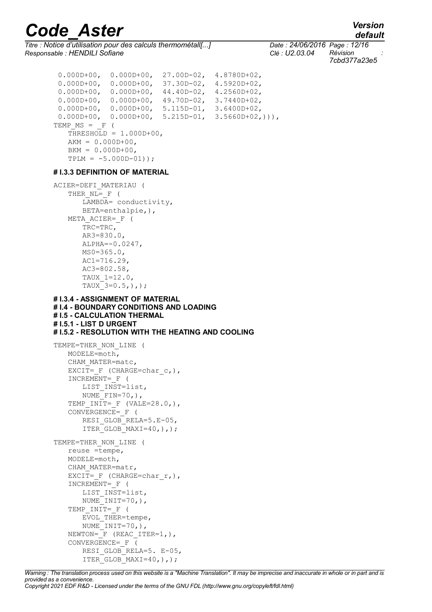*Titre : Notice d'utilisation pour des calculs thermométall[...] Date : 24/06/2016 Page : 12/16 Responsable : HENDILI Sofiane Clé : U2.03.04 Révision :*

*7cbd377a23e5*

```
 0.000D+00, 0.000D+00, 27.00D-02, 4.8780D+02,
  0.000D+00, 0.000D+00, 37.30D-02, 4.5920D+02,
  0.000D+00, 0.000D+00, 44.40D-02, 4.2560D+02,
  0.000D+00, 0.000D+00, 49.70D-02, 3.7440D+02,
  0.000D+00, 0.000D+00, 5.115D-01, 3.6400D+02,
  0.000D+00, 0.000D+00, 5.215D-01, 3.5660D+02,))),
TEMP MS = F (THRESHOLD = 1.000D+00,
   AKM = 0.000D+00,BKM = 0.000D+00,TPLM = -5.000D-01));
# I.3.3 DEFINITION OF MATERIAL
ACIER=DEFI_MATERIAU (
   THER NL= F (
      LAMBDA= conductivity,
      BETA=enthalpie,),
   META_ACIER=_F (
      TRC=TRC,
      AR3=830.0,
      ALPHA=-0.0247,
      MS0=365.0,
      AC1=716.29,
       AC3=802.58,
       TAUX_1=12.0,
       TAUX 3=0.5, ), );
# I.3.4 - ASSIGNMENT OF MATERIAL
# I.4 - BOUNDARY CONDITIONS AND LOADING
# I.5 - CALCULATION THERMAL
# I.5.1 - LIST D URGENT
# I.5.2 - RESOLUTION WITH THE HEATING AND COOLING
TEMPE=THER_NON_LINE (
   MODELE=moth,
   CHAM_MATER=matc,
   EXCIT= F (CHARGE=char c,),
   INCREMENT=_F (
      LIST_INST=list,
      NUME \overline{F} FIN=70, ),
   TEMP INIT= F (VALE=28.0,),
   CONVERGENCE = F (
       RESI GLOB RELA=5.E-05,
       ITER GLOB MAXI=40, ),;
TEMPE=THER_NON_LINE (
   reuse =tempe,
   MODELE=moth,
   CHAM_MATER=matr,
   EXCIT= F (CHARGE=char r,),
   INCREMENT=_F (
      LIST_INST=list,
      NUME<sup>T</sup>INIT=70, ),
   TEMP INIT= F (
      EVAL THER=tempe,
       NUME INIT=70,),
   NEWTON= F (REAC ITER=1,),
   CONVERGENCE=_F (
       RESI GLOB RELA=5. E-05,
       ITER GLOB MAXI=40,),);
```
*Warning : The translation process used on this website is a "Machine Translation". It may be imprecise and inaccurate in whole or in part and is provided as a convenience. Copyright 2021 EDF R&D - Licensed under the terms of the GNU FDL (http://www.gnu.org/copyleft/fdl.html)*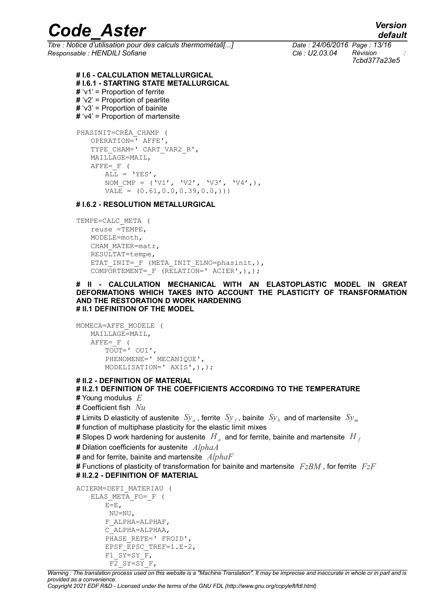*Titre : Notice d'utilisation pour des calculs thermométall[...] Date : 24/06/2016 Page : 13/16 Responsable : HENDILI Sofiane Clé : U2.03.04 Révision :*

*7cbd377a23e5*

**# I.6 - CALCULATION METALLURGICAL # I.6.1 - STARTING STATE METALLURGICAL #** 'v1' = Proportion of ferrite **#** 'v2' = Proportion of pearlite **#** 'v3' = Proportion of bainite **#** 'v4' = Proportion of martensite PHASINIT=CRÉA\_CHAMP ( OPERATION=' AFFE', TYPE CHAM=' CART VAR2 R', MAILLAGE=MAIL,  $A$ FFE=  $F$  (

 $\overline{\text{ALL}}$  = 'YES', NOM CMP =  $(V1', V2', V3', V3', V4',),$  $VALE = (0.61, 0.0, 0.39, 0.0, ))$ 

### **# I.6.2 - RESOLUTION METALLURGICAL**

```
TEMPE=CALC_META (
   reuse =TEMPE,
   MODELE=moth,
   CHAM_MATER=matr,
   RESULTAT=tempe,
   ETAT_INIT=_F (META_INIT_ELNO=phasinit,),
   COMPORTEMENT= F (RELATION=' ACIER',),);
```
**# II - CALCULATION MECHANICAL WITH AN ELASTOPLASTIC MODEL IN GREAT DEFORMATIONS WHICH TAKES INTO ACCOUNT THE PLASTICITY OF TRANSFORMATION AND THE RESTORATION D WORK HARDENING # II.1 DEFINITION OF THE MODEL**

```
MOMECA=AFFE_MODELE (
   MAILLAGE=MAIL,
   AFFE= F (
      TOUT=' OUI',
       PHENOMENE=' MECANIQUE',
       MODELISATION=' AXIS',),);
```
#### **# II.2 - DEFINITION OF MATERIAL**

### **# II.2.1 DEFINITION OF THE COEFFICIENTS ACCORDING TO THE TEMPERATURE**

- **#** Young modulus *E*
- **#** Coefficient fish *Nu*
- **#** Limits D elasticity of austenite  $\;Sy_a^{}$  , ferrite  $\;Sy_f^{}$  , bainite  $\;Sy_b^{}$  and of martensite  $\;Sy_m^{}$
- **#** function of multiphase plasticity for the elastic limit mixes
- **#** Slopes D work hardening for austenite  $\ H_{\scriptscriptstyle a}$  and for ferrite, bainite and martensite  $\ H_{\scriptscriptstyle f}$
- **#** Dilation coefficients for austenite *AlphaA*
- **#** and for ferrite, bainite and martensite *AlphaF*
- **#** Functions of plasticity of transformation for bainite and martensite *FzBM* , for ferrite *FzF* **# II.2.2 - DEFINITION OF MATERIAL**

```
ACIERM=DEFI_MATERIAU (
   ELAS META FO= F (
      E=E,
       NU=NU,
       F_ALPHA=ALPHAF,
       C_ALPHA=ALPHAA,
       PHASE REFE=' FROID',
       EPSF EPSC TREF=1.E-2,
       F1_SY=SY_F,
       F2 SY=SY F,
```
*Warning : The translation process used on this website is a "Machine Translation". It may be imprecise and inaccurate in whole or in part and is provided as a convenience.*

*Copyright 2021 EDF R&D - Licensed under the terms of the GNU FDL (http://www.gnu.org/copyleft/fdl.html)*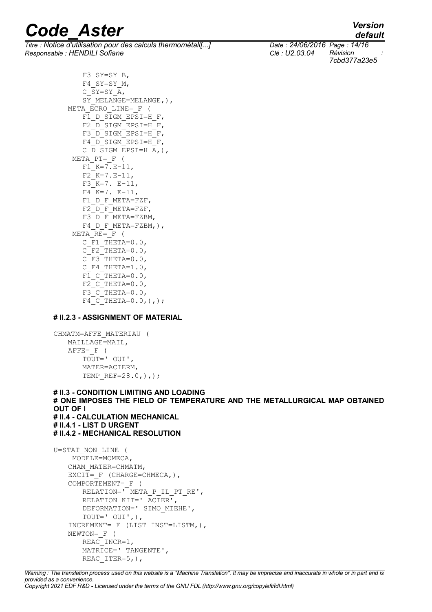*Titre : Notice d'utilisation pour des calculs thermométall[...] Date : 24/06/2016 Page : 14/16 Responsable : HENDILI Sofiane Clé : U2.03.04 Révision :*

*7cbd377a23e5*

*default*

F3\_SY=SY\_B,  $F4$ <sup> $SY=SY$ </sup> $M$ , C  $SY=SY\overline{A}$ ,  $ST$  MELANGE=MELANGE, ),  $META$  ECRO LINE=  $F$  ( F1 D SIGM EPSI=H F, F2 D SIGM EPSI=H F,  $F3$  D SIGM EPSI=H F,  $F4$ <sup>D</sup>SIGM\_EPSI=H\_F, C\_D\_SIGM\_EPSI=H\_A,), META  $PT=$   $F$  (  $F1$  $K=7$ . $E-11$ ,  $F2 K=7.E-11,$  $F3$  $K=7$ .  $E-11$ , F4\_K=7. E-11, F1 D F META=FZF, F2<sup>D</sup>F\_META=FZF, F3 D F META=FZBM, F4 D F META=FZBM, ),  $META$  RE=  $F$  (  $C$  F1 THETA=0.0, C\_F2\_THETA= $0.0$ ,  $C$  F3 THETA=0.0,  $C$  $F4$  $THETA=1.0$ ,  $F1$ <sup> $C$ THETA=0.0,</sup>  $F2$ <sup>-</sup>C<sup>-</sup>THETA=0.0,  $F3$ <sup>-</sup>C<sup>-</sup>THETA=0.0,  $F4-C$ THETA=0.0,),);

### **# II.2.3 - ASSIGNMENT OF MATERIAL**

```
CHMATM=AFFE_MATERIAU (
   MAILLAGE=MAIL,
   AFFE= F (
      TOUT=' OUI',
      MATER=ACIERM,
      TEMP REF=28.0,),);
```
**# II.3 - CONDITION LIMITING AND LOADING # ONE IMPOSES THE FIELD OF TEMPERATURE AND THE METALLURGICAL MAP OBTAINED OUT OF I # II.4 - CALCULATION MECHANICAL # II.4.1 - LIST D URGENT # II.4.2 - MECHANICAL RESOLUTION**

```
U=STAT_NON_LINE (
    MODELE=MOMECA,
   CHAM_MATER=CHMATM,
   EXCIT= F (CHARGE=CHMECA,),
   COMPORTEMENT=_F (
      RELATION=' META P_IL_PT_RE',
      RELATION KIT=' ACIER',
      DEFORMATION=' SIMO MIEHE',
      TOUT=' OUI',),
   INCREMENT=_F (LIST_INST=LISTM,),
   NEWTON= F (
      REAC_INCR=1,
      MATRICE=' TANGENTE',
      REAC ITER=5, ),
```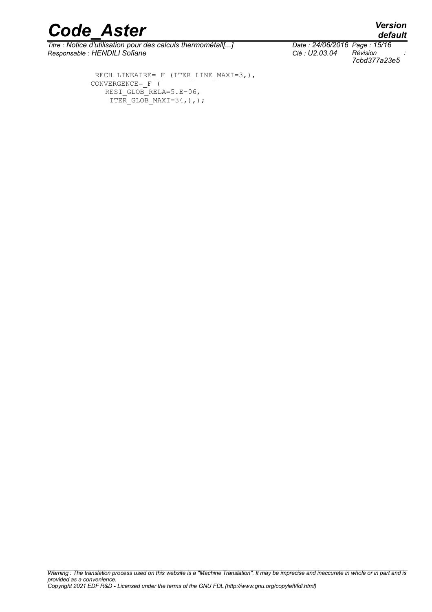*Titre : Notice d'utilisation pour des calculs thermométall[...] Date : 24/06/2016 Page : 15/16 Responsable : HENDILI Sofiane Clé : U2.03.04 Révision :*

RECH\_LINEAIRE=\_F (ITER\_LINE\_MAXI=3,), CONVERGENCE=  $F$  ( RESI GLOB RELA=5.E-06, ITER GLOB MAXI=34,),);

*7cbd377a23e5*

*default*